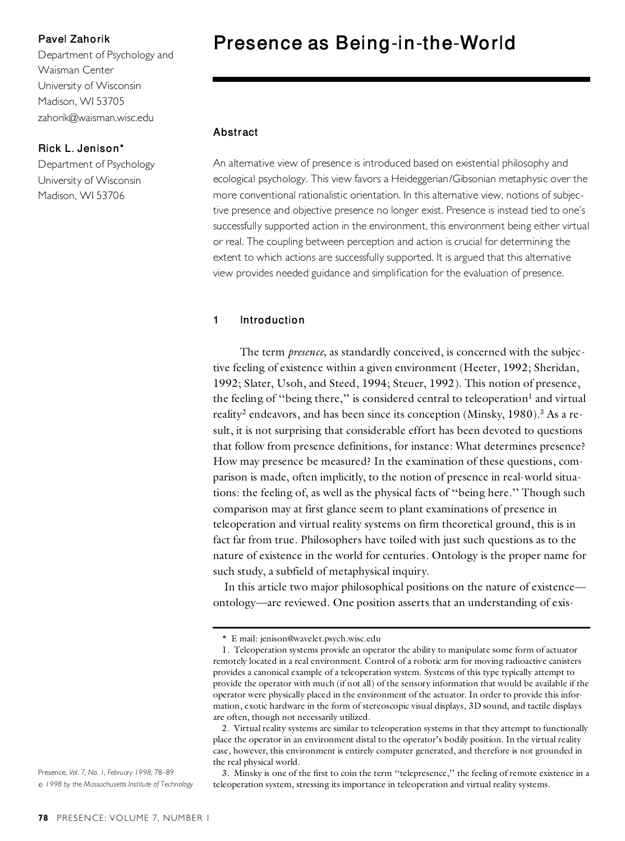## **Pavel Zahorik**

Department of Psychology and Waisman Center University of Wisconsin Madison, WI 53705 zahorik@waisman.wisc.edu

### **Rick L. Jenison\***

Department of Psychology University of Wisconsin Madison, WI 53706

# **Presence as Being-in-the-World**

### **Abstract**

An alternative view of presence is introduced based on existential philosophy and ecological psychology. This view favors a Heideggerian/Gibsonian metaphysic over the more conventional rationalistic orientation. In this alternative view, notions of subjective presence and objective presence no longer exist. Presence is instead tied to one's successfully supported action in the environment, this environment being either virtual or real. The coupling between perception and action is crucial for determining the extent to which actions are successfully supported. It is argued that this alternative view provides needed guidance and simplication for the evaluation of presence.

### **1 Introduction**

The term *presence,* as standardly conceived, is concerned with the subjective feeling of existence within a given environment (Heeter, 1992; Sheridan, 1992; Slater, Usoh, and Steed, 1994; Steuer, 1992). This notion of presence, the feeling of ''being there,'' is considered central to teleoperation <sup>1</sup> and virtual reality<sup>2</sup> endeavors, and has been since its conception (Minsky, 1980).<sup>3</sup> As a result, it is not surprising that considerable effort has been devoted to questions that follow from presence definitions, for instance: What determines presence? How may presence be measured? In the examination of these questions, com parison is made, often implicitly, to the notion of presence in real-world situations: the feeling of, as well as the physical facts of ''being here.'' Though such comparison may at first glance seem to plant examinations of presence in teleoperation and virtual reality systems on firm theoretical ground, this is in fact far from true. Philosophers have toiled with just such questions as to the nature of existence in the world for centuries. Ontology is the proper name for such study, a subfield of metaphysical inquiry.

In this article two major philosophical positions on the nature of existence ontology—are reviewed. One position asserts that an understanding of exis-

3. Minsky is one of the first to coin the term ''telepresence,'' the feeling of remote existence in a teleoperation system, stressing its importance in teleoperation and virtual reality systems.

Presence, *Vol. 7, No. 1, February 1998,* 78–89 r *1998 by the Massachusetts Institute of Technology*

<sup>\*</sup> E mail: jenison@wavelet.psych.wisc.edu

<sup>1.</sup> Teleoperation systems provide an operator the ability to manipulate some form of actuator remotely located in a real environment. Control of a robotic arm formoving radioactive canisters provides a canonical example of a teleoperation system. Systems of this type typically attempt to provide the operator with much (if not all) of the sensory information that would be available if the operator were physically placed in the environment of the actuator. In order to provide this infor mation, exotic hardware in the form of stereoscopic visual displays, 3D sound, and tactile displays are often, though not necessarily utilized.

<sup>2.</sup> Virtual reality systems are similar to teleoperation systems in that they attempt to functionally place the operator in an environment distal to the operator's bodily position. In the virtual reality case, however, this environment is entirely computer generated, and therefore is not grounded in the real physical world.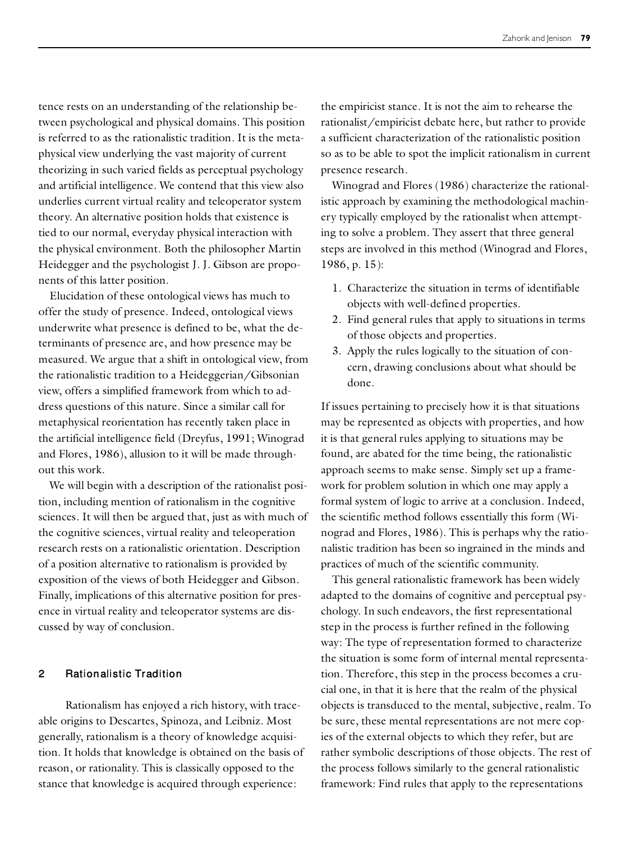tence rests on an understanding of the relationship between psychological and physical domains. This position is referred to as the rationalistic tradition. It is the meta physical view underlying the vast majority of current theorizing in such varied fields as perceptual psychology and artificial intelligence. We contend that this view also underlies current virtual reality and teleoperator system theory. An alternative position holds that existence is tied to our normal, everyday physical interaction with the physical environment. Both the philosopher Martin Heidegger and the psychologist J. J. Gibson are propo nents of this latter position.

Elucidation of these ontological views has much to offer the study of presence. Indeed, ontological views underwrite what presence is defined to be, what the determinants of presence are, and how presence may be measured. We argue that a shift in ontological view, from the rationalistic tradition to a Heideggerian/Gibsonian view, offers a simplified framework from which to ad dress questions of this nature. Since a similar call for metaphysical reorientation has recently taken place in the artificial intelligence field (Dreyfus, 1991; Winograd and Flores, 1986), allusion to it will be made through out this work.

We will begin with a description of the rationalist position, including mention of rationalism in the cognitive sciences. It will then be argued that, just as with much of the cognitive sciences, virtual reality and teleoperation research rests on a rationalistic orientation. Description of a position alternative to rationalism is provided by exposition of the views of both Heidegger and Gibson. Finally, implications of this alternative position for pres ence in virtual reality and teleoperator systems are discussed by way of conclusion.

### **2 Rationalistic Tradition**

Rationalism has enjoyed a rich history, with traceable origins to Descartes, Spinoza, and Leibniz. Most generally, rationalism is a theory of knowledge acquisition. It holds that knowledge is obtained on the basis of reason, or rationality. This is classically opposed to the stance that knowledge is acquired through experience:

the empiricist stance. It is not the aim to rehearse the rationalist/empiricist debate here, but rather to provide a sufficient characterization of the rationalistic position so as to be able to spot the implicit rationalism in current presence research.

Winograd and Flores (1986) characterize the rationalistic approach by examining the methodological machin ery typically employed by the rationalist when attempting to solve a problem. They assert that three general steps are involved in this method (Winograd and Flores, 1986, p. 15):

- 1. Characterize the situation in terms of identifiable objects with well-defined properties.
- 2. Find general rules that apply to situations in terms of those objects and properties.
- 3. Apply the rules logically to the situation of concern, drawing conclusions about what should be done.

If issues pertaining to precisely how it is that situations may be represented as objects with properties, and how it is that general rules applying to situations may be found, are abated for the time being, the rationalistic approach seems to make sense. Simply set up a frame work for problem solution in which one may apply a formal system of logic to arrive at a conclusion. Indeed, the scientific method follows essentially this form (Wi nograd and Flores, 1986). This is perhaps why the ratio nalistic tradition has been so ingrained in the minds and practices of much of the scientific community.

This general rationalistic framework has been widely adapted to the domains of cognitive and perceptual psychology. In such endeavors, the first representational step in the process is further refined in the following way: The type of representation formed to characterize the situation is some form of internal mental representation. Therefore, this step in the process becomes a crucial one, in that it is here that the realm of the physical objects is transduced to the mental, subjective, realm. To be sure, these mental representations are not mere copies of the external objects to which they refer, but are rather symbolic descriptions of those objects. The rest of the process follows similarly to the general rationalistic framework: Find rules that apply to the representations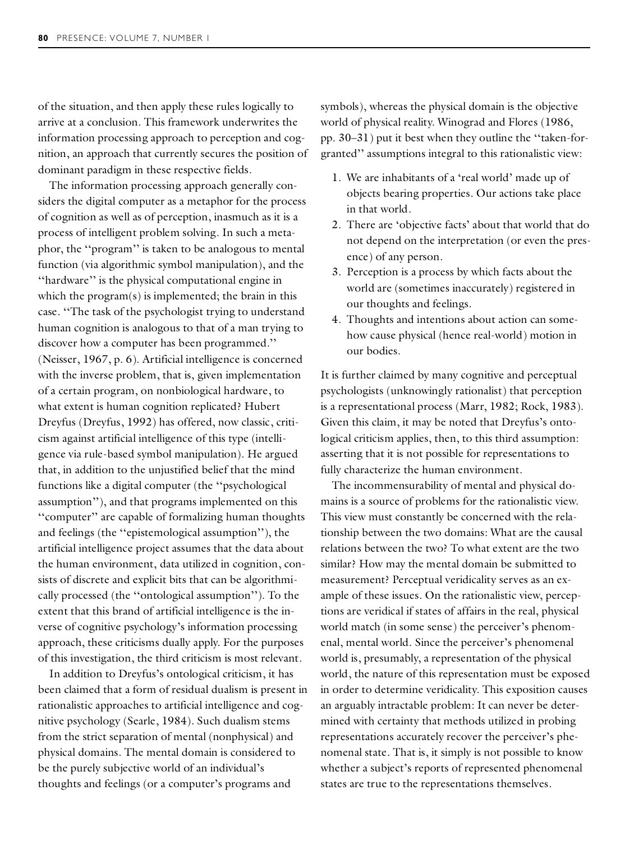of the situation, and then apply these rules logically to arrive at a conclusion. This framework underwrites the information processing approach to perception and cog nition, an approach that currently secures the position of dominant paradigm in these respective fields.

The information processing approach generally considers the digital computer as a metaphor for the process of cognition as well as of perception, inasmuch as it is a process of intelligent problem solving. In such a meta phor, the ''program'' is taken to be analogous to mental function (via algorithmic symbol manipulation), and the ''hardware'' is the physical computational engine in which the program(s) is implemented; the brain in this case. ''The task of the psychologist trying to understand human cognition is analogous to that of a man trying to discover how a computer has been programmed.'' (Neisser, 1967, p. 6). Artificial intelligence is concerned with the inverse problem, that is, given implementation of a certain program, on nonbiological hardware, to what extent is human cognition replicated? Hubert Dreyfus (Dreyfus, 1992) has offered, now classic, criticism against artificial intelligence of this type (intelli gence via rule-based symbol manipulation). He argued that, in addition to the unjustified belief that the mind functions like a digital computer (the ''psychological assumption''), and that programs implemented on this ''computer'' are capable of formalizing human thoughts and feelings (the ''epistemological assumption''), the artificial intelligence project assumes that the data about the human environment, data utilized in cognition, consists of discrete and explicit bits that can be algorithmically processed (the ''ontological assumption''). To the extent that this brand of artificial intelligence is the in verse of cognitive psychology's information processing approach, these criticisms dually apply. For the purposes of this investigation, the third criticism is most relevant.

In addition to Dreyfus's ontological criticism, it has been claimed that a form of residual dualism is present in rationalistic approaches to artificial intelligence and cog nitive psychology (Searle, 1984). Such dualism stems from the strict separation of mental (nonphysical) and physical domains. The mental domain is considered to be the purely subjective world of an individual's thoughts and feelings (or a computer's programs and

symbols), whereas the physical domain is the objective world of physical reality. Winograd and Flores (1986, pp. 30–31) put it best when they outline the ''taken-for granted'' assumptions integral to this rationalistic view:

- 1. We are inhabitants of a 'real world' made up of objects bearing properties. Our actions take place in that world.
- 2. There are 'objective facts' about that world that do not depend on the interpretation (or even the presence) of any person.
- 3. Perception is a process by which facts about the world are (sometimes inaccurately) registered in our thoughts and feelings.
- 4. Thoughts and intentions about action can some how cause physical (hence real-world) motion in our bodies.

It is further claimed by many cognitive and perceptual psychologists (unknowingly rationalist) that perception is a representational process (Marr, 1982; Rock, 1983). Given this claim, it may be noted that Dreyfus's ontological criticism applies, then, to this third assumption: asserting that it is not possible for representations to fully characterize the human environment.

The incommensurability of mental and physical do mains is a source of problems for the rationalistic view. This view must constantly be concerned with the relationship between the two domains: What are the causal relations between the two? To what extent are the two similar? How may the mental domain be submitted to measurement? Perceptual veridicality serves as an example of these issues. On the rationalistic view, perceptions are veridical if states of affairs in the real, physical world match (in some sense) the perceiver's phenom enal, mental world. Since the perceiver's phenomenal world is, presumably, a representation of the physical world, the nature of this representation must be exposed in order to determine veridicality. This exposition causes an arguably intractable problem: It can never be deter mined with certainty that methods utilized in probing representations accurately recover the perceiver's phe nomenal state. That is, it simply is not possible to know whether a subject's reports of represented phenomenal states are true to the representations themselves.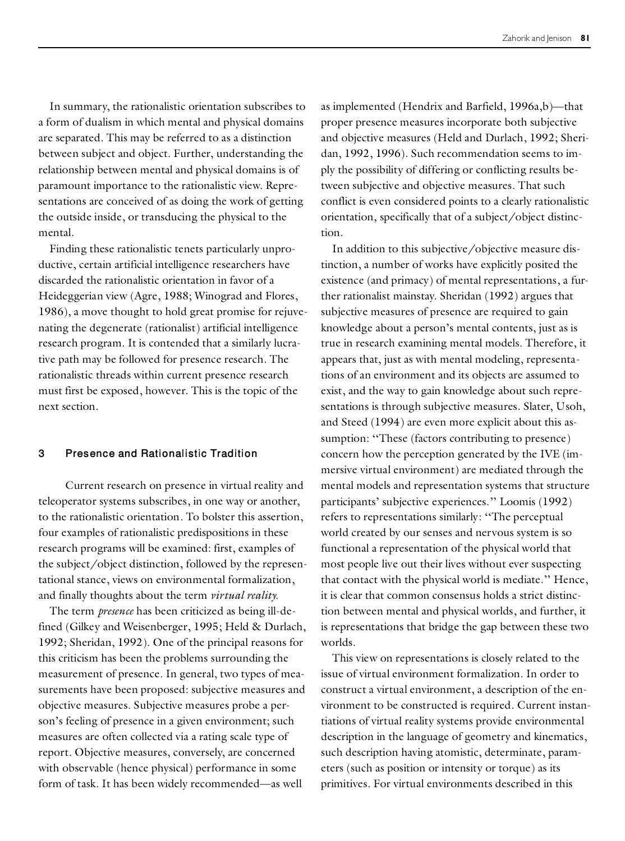In summary, the rationalistic orientation subscribes to a form of dualism in which mental and physical domains are separated. This may be referred to as a distinction between subject and object. Further, understanding the relationship between mental and physical domains is of paramount importance to the rationalistic view. Representations are conceived of as doing the work of getting the outside inside, or transducing the physical to the mental.

Finding these rationalistic tenets particularly unpro ductive, certain artificial intelligence researchers have discarded the rationalistic orientation in favor of a Heideggerian view (Agre, 1988; Winograd and Flores, 1986), a move thought to hold great promise for rejuve nating the degenerate (rationalist) artificial intelligence research program. It is contended that a similarly lucrative path may be followed for presence research. The rationalistic threads within current presence research must first be exposed, however. This is the topic of the next section.

### **3 Presence and Rationalistic Tradition**

Current research on presence in virtual reality and teleoperator systems subscribes, in one way or another, to the rationalistic orientation. To bolster this assertion, four examples of rationalistic predispositions in these research programs will be examined: first, examples of the subject/object distinction, followed by the representational stance, views on environmental formalization, and finally thoughts about the term *virtual reality.*

The term *presence* has been criticized as being ill-defined (Gilkey and Weisenberger, 1995; Held & Durlach, 1992; Sheridan, 1992). One of the principal reasons for this criticism has been the problems surrounding the measurement of presence. In general, two types of measurements have been proposed: subjective measures and objective measures. Subjective measures probe a person's feeling of presence in a given environment; such measures are often collected via a rating scale type of report. Objective measures, conversely, are concerned with observable (hence physical) performance in some form of task. It has been widely recommended—as well

as implemented (Hendrix and Barfield, 1996a,b)—that proper presence measures incorporate both subjective and objective measures (Held and Durlach, 1992; Sheri dan, 1992, 1996). Such recommendation seems to im ply the possibility of differing or conflicting results between subjective and objective measures. That such conflict is even considered points to a clearly rationalistic orientation, specifically that of a subject/object distinction.

In addition to this subjective/objective measure distinction, a number of works have explicitly posited the existence (and primacy) of mental representations, a further rationalist mainstay. Sheridan (1992) argues that subjective measures of presence are required to gain knowledge about a person's mental contents, just as is true in research examining mental models. Therefore, it appears that, just as with mental modeling, representations of an environment and its objects are assumed to exist, and the way to gain knowledge about such representations is through subjective measures. Slater, Usoh, and Steed (1994) are even more explicit about this assumption: "These (factors contributing to presence) concern how the perception generated by the IVE (im mersive virtual environment) are mediated through the mental models and representation systems that structure participants' subjective experiences.'' Loomis (1992) refers to representations similarly: ''The perceptual world created by our senses and nervous system is so functional a representation of the physical world that most people live out their lives without ever suspecting that contact with the physical world is mediate.'' Hence, it is clear that common consensus holds a strict distinction between mental and physical worlds, and further, it is representations that bridge the gap between these two worlds.

This view on representations is closely related to the issue of virtual environment formalization. In order to construct a virtual environment, a description of the en vironment to be constructed is required. Current instantiations of virtual reality systems provide environmental description in the language of geometry and kinematics, such description having atomistic, determinate, param eters (such as position or intensity or torque) as its primitives. For virtual environments described in this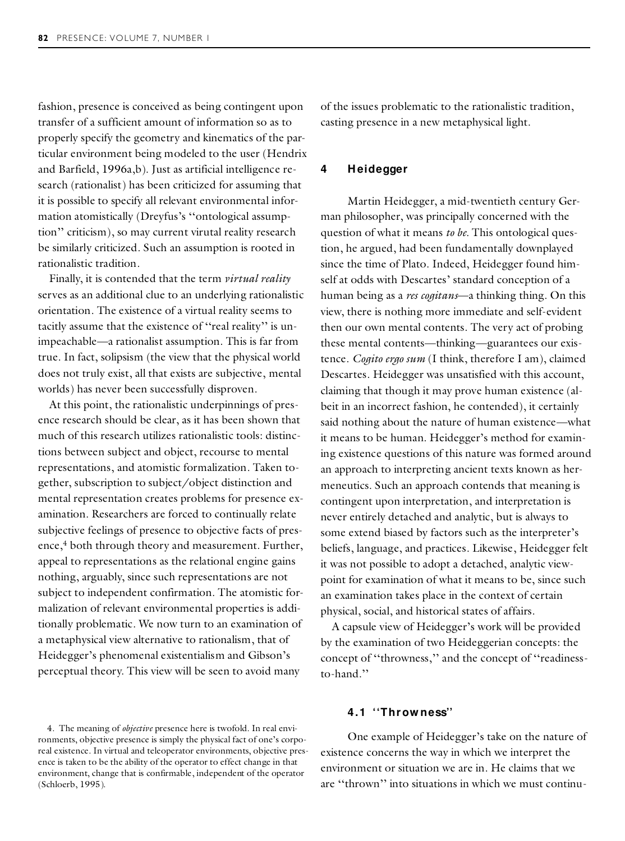fashion, presence is conceived as being contingent upon transfer of a sufficient amount of information so as to properly specify the geometry and kinematics of the particular environment being modeled to the user (Hendrix and Barfield, 1996a,b). Just as artificial intelligence research (rationalist) has been criticized for assuming that it is possible to specify all relevant environmental infor mation atomistically (Dreyfus's ''ontological assumption'' criticism), so may current virutal reality research be similarly criticized. Such an assumption is rooted in rationalistic tradition.

Finally, it is contended that the term *virtual reality* serves as an additional clue to an underlying rationalistic orientation. The existence of a virtual reality seems to tacitly assume that the existence of ''real reality'' is unimpeachable—a rationalist assumption. This is far from true. In fact, solipsism (the view that the physical world does not truly exist, all that exists are subjective, mental worlds) has never been successfully disproven.

At this point, the rationalistic underpinnings of pres ence research should be clear, as it has been shown that much of this research utilizes rationalistic tools: distinctions between subject and object, recourse to mental representations, and atomistic formalization. Taken to gether, subscription to subject/object distinction and mental representation creates problems for presence examination. Researchers are forced to continually relate subjective feelings of presence to objective facts of pres ence,<sup>4</sup> both through theory and measurement. Further, appeal to representations as the relational engine gains nothing, arguably, since such representations are not subject to independent confirmation. The atomistic for malization of relevant environmental properties is additionally problematic. We now turn to an examination of a metaphysical view alternative to rationalism, that of Heidegger's phenomenal existentialism and Gibson's perceptual theory. This view will be seen to avoid many

4. The meaning of *objective* presence here is twofold. In real environments, objective presence is simply the physical fact of one's corporeal existence. In virtual and teleoperator environments, objective pres ence is taken to be the ability of the operator to effect change in that environment, change that is confirmable, independent of the operator (Schloerb, 1995).

of the issues problematic to the rationalistic tradition, casting presence in a new metaphysical light.

### **4 H eidegger**

Martin Heidegger, a mid-twentieth century Ger man philosopher, was principally concerned with the question of what it means *to be.* This ontological question, he argued, had been fundamentally downplayed since the time of Plato. Indeed, Heidegger found himself at odds with Descartes' standard conception of a human being as a *res cogitans*—a thinking thing. On this view, there is nothing more immediate and self-evident then our own mental contents. The very act of probing these mental contents—thinking—guarantees our existence. *Cogito ergo sum* (I think, therefore I am), claimed Descartes. Heidegger was unsatisfied with this account, claiming that though it may prove human existence (al beit in an incorrect fashion, he contended), it certainly said nothing about the nature of human existence—what it means to be human. Heidegger's method for examining existence questions of this nature was formed around an approach to interpreting ancient texts known as her meneutics. Such an approach contends that meaning is contingent upon interpretation, and interpretation is never entirely detached and analytic, but is always to some extend biased by factors such as the interpreter's beliefs, language, and practices. Likewise, Heidegger felt it was not possible to adopt a detached, analytic view point for examination of what it means to be, since such an examination takes place in the context of certain physical, social, and historical states of affairs.

A capsule view of Heidegger's work will be provided by the examination of two Heideggerian concepts: the concept of ''throwness,'' and the concept of ''readinessto-hand.''

### **4.1 ''Throw ness''**

One example of Heidegger's take on the nature of existence concerns the way in which we interpret the environment or situation we are in. He claims that we are ''thrown'' into situations in which we must continu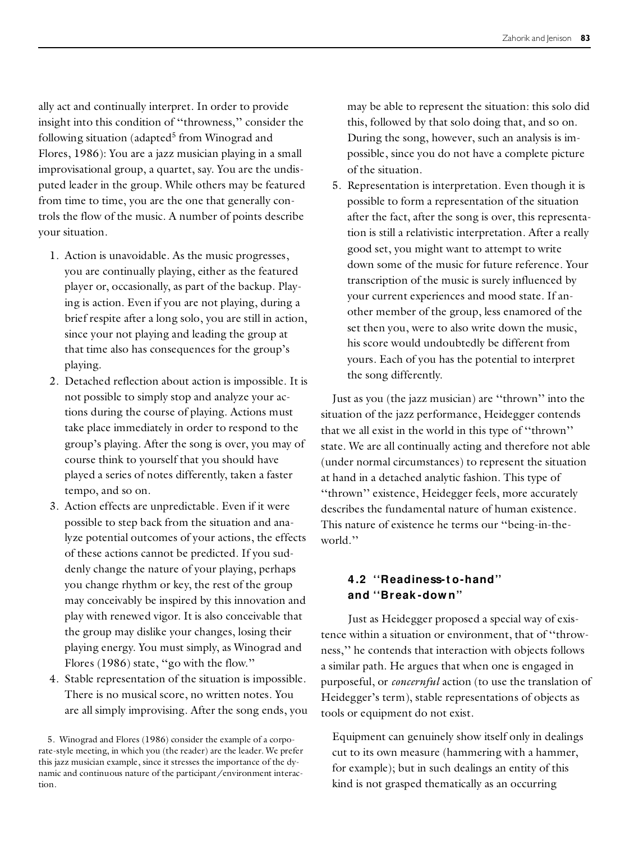ally act and continually interpret. In order to provide insight into this condition of ''throwness,'' consider the following situation (adapted 5 from Winograd and Flores, 1986): You are a jazz musician playing in a small improvisational group, a quartet, say. You are the undis puted leader in the group. While others may be featured from time to time, you are the one that generally controls the flow of the music. A number of points describe your situation.

- 1. Action is unavoidable. As the music progresses, you are continually playing, either as the featured player or, occasionally, as part of the backup. Playing is action. Even ifyou are not playing, during a brief respite after a long solo, you are still in action, since your not playing and leading the group at that time also has consequences for the group's playing.
- 2. Detached reflection about action is impossible. It is not possible to simply stop and analyze your actions during the course of playing. Actions must take place immediately in order to respond to the group's playing. After the song is over, you may of course think to yourself that you should have played a series of notes differently, taken a faster tempo, and so on.
- 3. Action effects are unpredictable. Even if it were possible to step back from the situation and analyze potential outcomes of your actions, the effects of these actions cannot be predicted. If you sud denly change the nature of your playing, perhaps you change rhythm or key, the rest of the group may conceivably be inspired by this innovation and play with renewed vigor. It is also conceivable that the group may dislike your changes, losing their playing energy. You must simply, as Winograd and Flores (1986) state, "go with the flow."
- 4. Stable representation of the situation is impossible. There is no musical score, no written notes. You are all simply improvising. After the song ends, you

may be able to represent the situation: this solo did this, followed by that solo doing that, and so on. During the song, however, such an analysis is im possible, since you do not have a complete picture of the situation.

5. Representation is interpretation. Even though it is possible to form a representation of the situation after the fact, after the song is over, this representation is still a relativistic interpretation. After a really good set, you might want to attempt to write down some of the music for future reference. Your transcription of the music is surely influenced by your current experiences and mood state. If an other member of the group, less enamored of the set then you, were to also write down the music, his score would undoubtedly be different from yours. Each of you has the potential to interpret the song differently.

Just as you (the jazz musician) are ''thrown'' into the situation of the jazz performance, Heidegger contends that we all exist in the world in this type of ''thrown'' state. We are all continually acting and therefore not able (under normal circumstances) to represent the situation at hand in a detached analytic fashion. This type of "thrown" existence, Heidegger feels, more accurately describes the fundamental nature of human existence. This nature of existence he terms our ''being-in-the world.''

# **4 .2 ''Readiness-t o-hand'' and ''Br eak -dow n''**

Just as Heidegger proposed a special way of existence within a situation or environment, that of ''throw ness,'' he contends that interaction with objects follows a similar path. He argues that when one is engaged in purposeful, or *concernful* action (to use the translation of Heidegger's term), stable representations of objects as tools or equipment do not exist.

Equipment can genuinely show itself only in dealings cut to its own measure (hammering with a hammer, for example); but in such dealings an entity of this kind is not grasped thematically as an occurring

<sup>5.</sup> Winograd and Flores (1986) consider the example of a corporate-style meeting, in which you (the reader) are the leader. We prefer this jazz musician example, since it stresses the importance of the dy namic and continuous nature of the participant/environment interaction.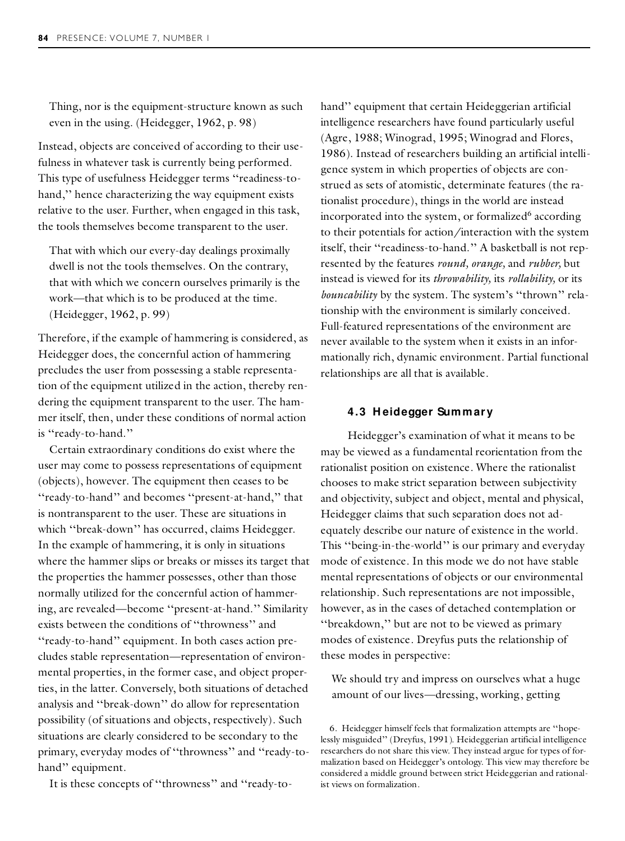Thing, nor is the equipment-structure known as such even in the using. (Heidegger, 1962, p. 98)

Instead, objects are conceived of according to their usefulness in whatever task is currently being performed. This type of usefulness Heidegger terms ''readiness-to hand," hence characterizing the way equipment exists relative to the user. Further, when engaged in this task, the tools themselves become transparent to the user.

That with which our every-day dealings proximally dwell is not the tools themselves. On the contrary, that with which we concern ourselves primarily is the work—that which is to be produced at the time. (Heidegger, 1962, p. 99)

Therefore, if the example of hammering is considered, as Heidegger does, the concernful action of hammering precludes the user from possessing a stable representation of the equipment utilized in the action, thereby ren dering the equipment transparent to the user. The ham mer itself, then, under these conditions of normal action is ''ready-to-hand.''

Certain extraordinary conditions do exist where the user may come to possess representations of equipment (objects), however. The equipment then ceases to be ''ready-to-hand'' and becomes ''present-at-hand,'' that is nontransparent to the user. These are situations in which ''break-down'' has occurred, claims Heidegger. In the example of hammering, it is only in situations where the hammer slips or breaks or misses its target that the properties the hammer possesses, other than those normally utilized for the concernful action of hammering, are revealed—become ''present-at-hand.'' Similarity exists between the conditions of ''throwness'' and ''ready-to-hand'' equipment. In both cases action precludes stable representation—representation of environ mental properties, in the former case, and object properties, in the latter. Conversely, both situations of detached analysis and ''break-down'' do allow for representation possibility (of situations and objects, respectively). Such situations are clearly considered to be secondary to the primary, everyday modes of ''throwness'' and ''ready-to hand" equipment.

It is these concepts of ''throwness'' and ''ready-to-

hand'' equipment that certain Heideggerian artificial intelligence researchers have found particularly useful (Agre, 1988; Winograd, 1995; Winograd and Flores, 1986). Instead of researchers building an artificial intelli gence system in which properties of objects are construed as sets of atomistic, determinate features (the rationalist procedure), things in the world are instead incorporated into the system, or formalized <sup>6</sup> according to their potentials for action/interaction with the system itself, their ''readiness-to-hand.'' A basketball is not represented by the features *round, orange,* and *rubber,* but instead is viewed for its *throwability,* its *rollability,* or its *bouncability* by the system. The system's ''thrown'' relationship with the environment is similarly conceived. Full-featured representations of the environment are never available to the system when it exists in an infor mationally rich, dynamic environment. Partial functional relationships are all that is available.

### **4.3 H eidegger Summar y**

Heidegger's examination of what it means to be may be viewed as a fundamental reorientation from the rationalist position on existence. Where the rationalist chooses to make strict separation between subjectivity and objectivity, subject and object, mental and physical, Heidegger claims that such separation does not adequately describe our nature of existence in the world. This ''being-in-the-world'' is our primary and everyday mode of existence. In this mode we do not have stable mental representations of objects or our environmental relationship. Such representations are not impossible, however, as in the cases of detached contemplation or ''breakdown,'' but are not to be viewed as primary modes of existence. Dreyfus puts the relationship of these modes in perspective:

We should try and impress on ourselves what a huge amount of our lives—dressing, working, getting

<sup>6.</sup> Heidegger himself feels that formalization attempts are ''hopelessly misguided'' (Dreyfus, 1991). Heideggerian artificial intelligence researchers do not share this view. They instead argue for types of for malization based on Heidegger's ontology. This view may therefore be considered a middle ground between strict Heideggerian and rationalist views on formalization.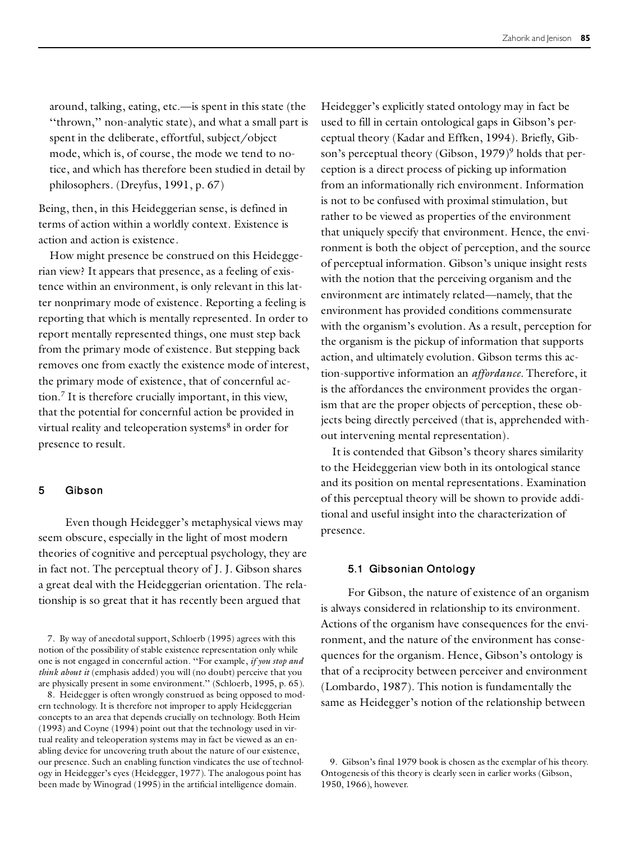around, talking, eating, etc.—is spent in this state (the ''thrown,'' non-analytic state), and what a small part is spent in the deliberate, effortful, subject/object mode, which is, of course, the mode we tend to notice, and which has therefore been studied in detail by philosophers. (Dreyfus, 1991, p. 67)

Being, then, in this Heideggerian sense, is defined in terms of action within a worldly context. Existence is action and action is existence.

How might presence be construed on this Heideggerian view? It appears that presence, as a feeling of existence within an environment, is only relevant in this latter nonprimary mode of existence. Reporting a feeling is reporting that which is mentally represented. In order to report mentally represented things, one must step back from the primary mode of existence. But stepping back removes one from exactly the existence mode of interest, the primary mode of existence, that of concernful action.<sup>7</sup> It is therefore crucially important, in this view, that the potential for concernful action be provided in virtual reality and teleoperation systems<sup>8</sup> in order for presence to result.

### **5 Gibson**

Even though Heidegger's metaphysical views may seem obscure, especially in the light of most modern theories of cognitive and perceptual psychology, they are in fact not. The perceptual theory of J. J. Gibson shares a great deal with the Heideggerian orientation. The relationship is so great that it has recently been argued that

8. Heidegger is often wrongly construed as being opposed to mod ern technology. It is therefore not improper to apply Heideggerian concepts to an area that depends crucially on technology. Both Heim (1993) and Coyne (1994) point out that the technology used in virtual reality and teleoperation systems may in fact be viewed as an en abling device for uncovering truth about the nature of our existence, our presence. Such an enabling function vindicates the use of technol ogy in Heidegger's eyes (Heidegger, 1977). The analogous point has been made by Winograd (1995) in the artificial intelligence domain.

Heidegger's explicitly stated ontology may in fact be used to fill in certain ontological gaps in Gibson's perceptual theory (Kadar and Effken, 1994). Briefly, Gibson's perceptual theory (Gibson, 1979) <sup>9</sup> holds that perception is a direct process of picking up information from an informationally rich environment. Information is not to be confused with proximal stimulation, but rather to be viewed as properties of the environment that uniquely specify that environment. Hence, the environment is both the object of perception, and the source of perceptual information. Gibson's unique insight rests with the notion that the perceiving organism and the environment are intimately related—namely, that the environment has provided conditions commensurate with the organism's evolution. As a result, perception for the organism is the pickup of information that supports action, and ultimately evolution. Gibson terms this action-supportive information an *affordance.* Therefore, it is the affordances the environment provides the organism that are the proper objects of perception, these objects being directly perceived (that is, apprehended with out intervening mental representation).

It is contended that Gibson's theory shares similarity to the Heideggerian view both in its ontological stance and its position on mental representations. Examination of this perceptual theory will be shown to provide additional and useful insight into the characterization of presence.

### **5.1 Gibsonian Ontology**

For Gibson, the nature of existence of an organism is always considered in relationship to its environment. Actions of the organism have consequences for the environment, and the nature of the environment has conse quences for the organism. Hence, Gibson's ontology is that of a reciprocity between perceiver and environment (Lombardo, 1987). This notion is fundamentally the same as Heidegger's notion of the relationship between

<sup>7.</sup> By way of anecdotal support, Schloerb (1995) agrees with this notion of the possibility of stable existence representation only while one is not engaged in concernful action. ''For example, *if you stop and think about it* (emphasis added) you will (no doubt) perceive that you are physically present in some environment.'' (Schloerb, 1995, p. 65).

<sup>9.</sup> Gibson's final 1979 book is chosen as the exemplar of his theory. Ontogenesis of this theory is clearly seen in earlier works (Gibson, 1950, 1966), however.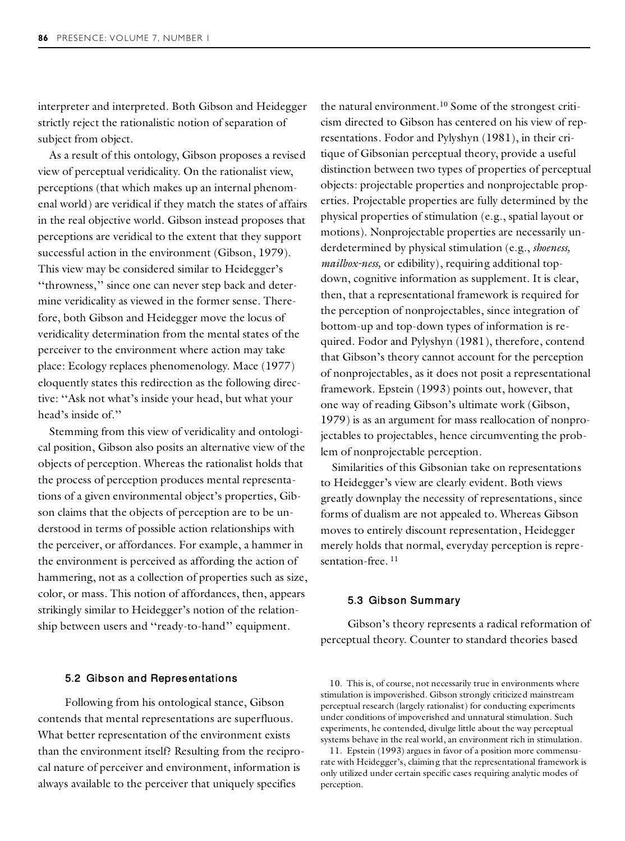interpreter and interpreted. Both Gibson and Heidegger strictly reject the rationalistic notion of separation of subject from object.

As a result of this ontology, Gibson proposes a revised view of perceptual veridicality. On the rationalist view, perceptions (that which makes up an internal phenomenal world) are veridical if they match the states of affairs in the real objective world. Gibson instead proposes that perceptions are veridical to the extent that they support successful action in the environment (Gibson, 1979). This view may be considered similar to Heidegger's "throwness," since one can never step back and determine veridicality as viewed in the former sense. Therefore, both Gibson and Heidegger move the locus of veridicality determination from the mental states of the perceiver to the environment where action may take place: Ecology replaces phenomenology. Mace (1977) eloquently states this redirection as the following directive: ''Ask not what's inside your head, but what your head's inside of.''

Stemming from this view of veridicality and ontological position, Gibson also posits an alternative view of the objects of perception. Whereas the rationalist holds that the process of perception produces mental representations of a given environmental object's properties, Gibson claims that the objects of perception are to be un derstood in terms of possible action relationships with the perceiver, or affordances. For example, a hammer in the environment is perceived as affording the action of hammering, not as a collection of properties such as size, color, or mass. This notion of affordances, then, appears strikingly similar to Heidegger's notion of the relationship between users and ''ready-to-hand'' equipment.

### **5.2 Gibson and Representations**

Following from his ontological stance, Gibson contends that mental representations are superfluous. What better representation of the environment exists than the environment itself? Resulting from the reciprocal nature of perceiver and environment, information is always available to the perceiver that uniquely specifies

the natural environment.<sup>10</sup> Some of the strongest criticism directed to Gibson has centered on his view of representations. Fodor and Pylyshyn (1981), in their critique of Gibsonian perceptual theory, provide a useful distinction between two types of properties of perceptual objects: projectable properties and nonprojectable prop erties. Projectable properties are fully determined by the physical properties of stimulation (e.g., spatial layout or motions). Nonprojectable properties are necessarily un derdetermined by physical stimulation (e.g., *shoeness, mailbox-ness,* or edibility), requiring additional top down, cognitive information as supplement. It is clear, then, that a representational framework is required for the perception of nonprojectables, since integration of bottom-up and top-down types of information is re quired. Fodor and Pylyshyn (1981), therefore, contend that Gibson's theory cannot account for the perception of nonprojectables, as it does not posit a representational framework. Epstein (1993) points out, however, that one way of reading Gibson's ultimate work (Gibson, 1979) is as an argument for mass reallocation of nonprojectables to projectables, hence circumventing the problem of nonprojectable perception.

Similarities of this Gibsonian take on representations to Heidegger's view are clearly evident. Both views greatly downplay the necessity of representations, since forms of dualism are not appealed to. Whereas Gibson moves to entirely discount representation, Heidegger merely holds that normal, everyday perception is representation-free.<sup>11</sup>

### **5.3 Gibson Summary**

Gibson's theory represents a radical reformation of perceptual theory. Counter to standard theories based

<sup>10.</sup> This is, of course, not necessarily true in environments where stimulation is impoverished. Gibson strongly criticized mainstream perceptual research (largely rationalist) for conducting experiments under conditions of impoverished and unnatural stimulation. Such experiments, he contended, divulge little about the way perceptual systems behave in the real world, an environment rich in stimulation.

<sup>11.</sup> Epstein (1993) argues in favor of a position more commensurate with Heidegger's, claiming that the representational framework is only utilized under certain specific cases requiring analytic modes of perception.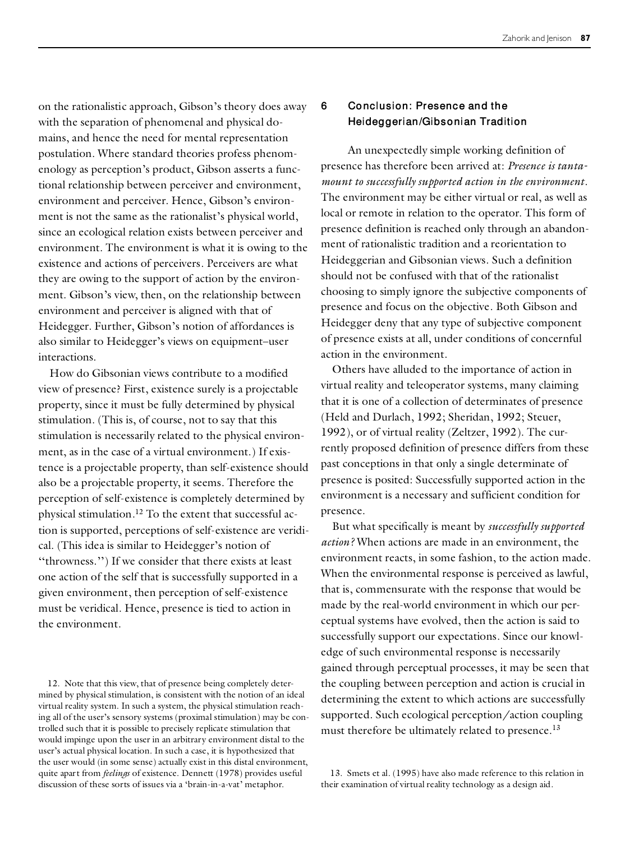on the rationalistic approach, Gibson's theory does away with the separation of phenomenal and physical do mains, and hence the need for mental representation postulation. Where standard theories profess phenom enology as perception's product, Gibson asserts a functional relationship between perceiver and environment, environment and perceiver. Hence, Gibson's environ ment is not the same as the rationalist's physical world, since an ecological relation exists between perceiver and environment. The environment is what it is owing to the existence and actions of perceivers. Perceivers are what they are owing to the support of action by the environ ment. Gibson's view, then, on the relationship between environment and perceiver is aligned with that of Heidegger. Further, Gibson's notion of affordances is also similar to Heidegger's views on equipment–user interactions.

How do Gibsonian views contribute to a modified view of presence? First, existence surely is a projectable property, since it must be fully determined by physical stimulation. (This is, of course, not to say that this stimulation is necessarily related to the physical environ ment, as in the case of a virtual environment.) If existence is a projectable property, than self-existence should also be a projectable property, it seems. Therefore the perception of self-existence is completely determined by physical stimulation.<sup>12</sup> To the extent that successful action is supported, perceptions of self-existence are veridical. (This idea is similar to Heidegger's notion of ''throwness.'') If we consider that there exists at least one action of the self that is successfully supported in a given environment, then perception of self-existence must be veridical. Hence, presence is tied to action in the environment.

# **6 Conclusion: Presence and the Heideggerian/Gibsonian Tradition**

An unexpectedly simple working definition of presence has therefore been arrived at: *Presence is tanta mount to successfully supported action in the environment.* The environment may be either virtual or real, as well as local or remote in relation to the operator. This form of presence definition is reached only through an abandon ment of rationalistic tradition and a reorientation to Heideggerian and Gibsonian views. Such a definition should not be confused with that of the rationalist choosing to simply ignore the subjective components of presence and focus on the objective. Both Gibson and Heidegger deny that any type of subjective component of presence exists at all, under conditions of concernful action in the environment.

Others have alluded to the importance of action in virtual reality and teleoperator systems, many claiming that it is one of a collection of determinates of presence (Held and Durlach, 1992; Sheridan, 1992; Steuer, 1992), or of virtual reality (Zeltzer, 1992). The currently proposed definition of presence differs from these past conceptions in that only a single determinate of presence is posited: Successfully supported action in the environment is a necessary and sufficient condition for presence.

But what specifically is meant by *successfully supported action?* When actions are made in an environment, the environment reacts, in some fashion, to the action made. When the environmental response is perceived as lawful, that is, commensurate with the response that would be made by the real-world environment in which our perceptual systems have evolved, then the action is said to successfully support our expectations. Since our knowl edge of such environmental response is necessarily gained through perceptual processes, it may be seen that the coupling between perception and action is crucial in determining the extent to which actions are successfully supported. Such ecological perception/action coupling must therefore be ultimately related to presence.<sup>13</sup>

<sup>12.</sup> Note that this view, that of presence being completely deter mined by physical stimulation, is consistent with the notion of an ideal virtual reality system. In such a system, the physical stimulation reaching all of the user's sensory systems (proximal stimulation) may be controlled such that it is possible to precisely replicate stimulation that would impinge upon the user in an arbitrary environment distal to the user's actual physical location. In such a case, it is hypothesized that the user would (in some sense) actually exist in this distal environment, quite apart from *feelings* of existence. Dennett (1978) provides useful discussion of these sorts of issues via a 'brain-in-a-vat' metaphor.

<sup>13.</sup> Smets et al. (1995) have also made reference to this relation in their examination of virtual reality technology as a design aid.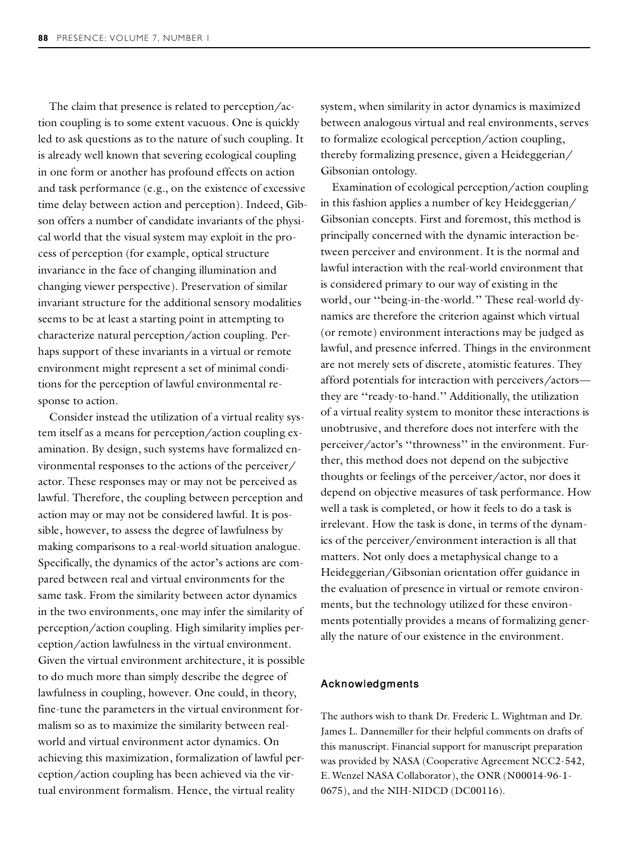The claim that presence is related to perception/action coupling is to some extent vacuous. One is quickly led to ask questions as to the nature of such coupling. It is already well known that severing ecological coupling in one form or another has profound effects on action and task performance (e.g., on the existence of excessive time delay between action and perception). Indeed, Gibson offers a number of candidate invariants of the physical world that the visual system may exploit in the process of perception (for example, optical structure invariance in the face of changing illumination and changing viewer perspective). Preservation of similar invariant structure for the additional sensory modalities seems to be at least a starting point in attempting to characterize natural perception/action coupling. Per haps support of these invariants in a virtual or remote environment might represent a set of minimal conditions for the perception of lawful environmental response to action.

Consider instead the utilization of a virtual reality system itself as a means for perception/action coupling examination. By design, such systems have formalized environmental responses to the actions of the perceiver/ actor. These responses may or may not be perceived as lawful. Therefore, the coupling between perception and action may or may not be considered lawful. It is possible, however, to assess the degree of lawfulness by making comparisons to a real-world situation analogue. Specifically, the dynamics of the actor's actions are com pared between real and virtual environments for the same task. From the similarity between actor dynamics in the two environments, one may infer the similarity of perception/action coupling. High similarity implies perception/action lawfulness in the virtual environment. Given the virtual environment architecture, it is possible to do much more than simply describe the degree of lawfulness in coupling, however. One could, in theory, fine-tune the parameters in the virtual environment for malism so as to maximize the similarity between real world and virtual environment actor dynamics. On achieving this maximization, formalization of lawful perception/action coupling has been achieved via the virtual environment formalism. Hence, the virtual reality

system, when similarity in actor dynamics is maximized between analogous virtual and real environments, serves to formalize ecological perception/action coupling, thereby formalizing presence, given a Heideggerian/ Gibsonian ontology.

Examination of ecological perception/action coupling in this fashion applies a number of key Heideggerian/ Gibsonian concepts. First and foremost, this method is principally concerned with the dynamic interaction between perceiver and environment. It is the normal and lawful interaction with the real-world environment that is considered primary to our way of existing in the world, our ''being-in-the-world.'' These real-world dy namics are therefore the criterion against which virtual (or remote) environment interactions may be judged as lawful, and presence inferred. Things in the environment are not merely sets of discrete, atomistic features. They afford potentials for interaction with perceivers/actors they are ''ready-to-hand.'' Additionally, the utilization of a virtual reality system to monitor these interactions is unobtrusive, and therefore does not interfere with the perceiver/actor's ''throwness'' in the environment. Further, this method does not depend on the subjective thoughts or feelings of the perceiver/actor, nor does it depend on objective measures of task performance. How well a task is completed, or how it feels to do a task is irrelevant. How the task is done, in terms of the dynamics of the perceiver/environment interaction is all that matters. Not only does a metaphysical change to a Heideggerian/Gibsonian orientation offer guidance in the evaluation of presence in virtual or remote environ ments, but the technology utilized for these environ ments potentially provides a means of formalizing generally the nature of our existence in the environment.

#### **Acknowledgments**

The authors wish to thank Dr. Frederic L. Wightman and Dr. James L. Dannemiller for their helpful comments on drafts of this manuscript. Financial support for manuscript preparation was provided by NASA (Cooperative Agreement NCC2-542, E. Wenzel NASA Collaborator), the ONR (N00014-96-1- 0675), and the NIH-NIDCD (DC00116).